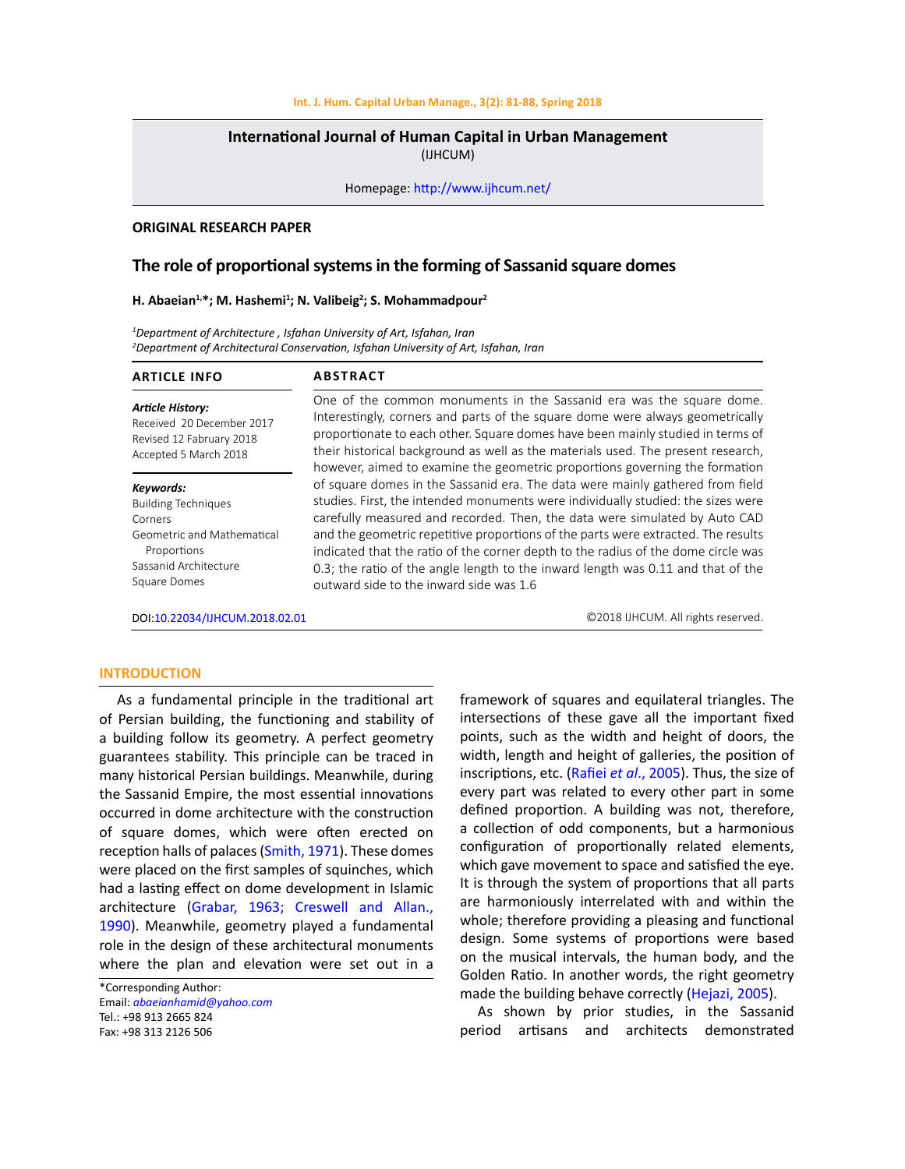#### **Int. J. Hum. Capital Urban Manage., 3(2): 81-88, Spring 2018**

# **International Journal of Human Capital in Urban Management**  (IJHCUM)

Homepage: http://www.ijhcum.net/

### **ORIGINAL RESEARCH PAPER**

# **The role of proportional systems in the forming of Sassanid square domes**

#### **H. Abaeian1,\*; M. Hashemi<sup>1</sup> ; N. Valibeig2 ; S. Mohammadpour<sup>2</sup>**

*1 Department of Architecture , Isfahan University of Art, Isfahan, Iran 2 Department of Architectural Conservation, Isfahan University of Art, Isfahan, Iran*

#### **ARTICLE INFO**

# **ABSTRACT**

*Article History:* Received 20 December 2017 Revised 12 Fabruary 2018 Accepted 5 March 2018

*Keywords:* Building Techniques Corners Geometric and Mathematical Proportions Sassanid Architecture Square Domes

DOI:10.22034/IJHCUM.2018.02.01

One of the common monuments in the Sassanid era was the square dome. Interestingly, corners and parts of the square dome were always geometrically proportionate to each other. Square domes have been mainly studied in terms of their historical background as well as the materials used. The present research, however, aimed to examine the geometric proportions governing the formation of square domes in the Sassanid era. The data were mainly gathered from field studies. First, the intended monuments were individually studied: the sizes were carefully measured and recorded. Then, the data were simulated by Auto CAD and the geometric repetitive proportions of the parts were extracted. The results indicated that the ratio of the corner depth to the radius of the dome circle was 0.3; the ratio of the angle length to the inward length was 0.11 and that of the outward side to the inward side was 1.6

©2018 IJHCUM. All rights reserved.

## **INTRODUCTION**

As a fundamental principle in the traditional art of Persian building, the functioning and stability of a building follow its geometry. A perfect geometry guarantees stability. This principle can be traced in many historical Persian buildings. Meanwhile, during the Sassanid Empire, the most essential innovations occurred in dome architecture with the construction of square domes, which were often erected on reception halls of palaces (Smith, 1971). These domes were placed on the first samples of squinches, which had a lasting effect on dome development in Islamic architecture (Grabar, 1963; Creswell and Allan., 1990). Meanwhile, geometry played a fundamental role in the design of these architectural monuments where the plan and elevation were set out in a

\*Corresponding Author: Email: *abaeianhamid@yahoo.com* Tel.: +98 913 2665 824 Fax: +98 313 2126 506

framework of squares and equilateral triangles. The intersections of these gave all the important fixed points, such as the width and height of doors, the width, length and height of galleries, the position of inscriptions, etc. (Rafiei *et al*., 2005). Thus, the size of every part was related to every other part in some defined proportion. A building was not, therefore, a collection of odd components, but a harmonious configuration of proportionally related elements, which gave movement to space and satisfied the eye. It is through the system of proportions that all parts are harmoniously interrelated with and within the whole; therefore providing a pleasing and functional design. Some systems of proportions were based on the musical intervals, the human body, and the Golden Ratio. In another words, the right geometry made the building behave correctly (Hejazi, 2005).

As shown by prior studies, in the Sassanid period artisans and architects demonstrated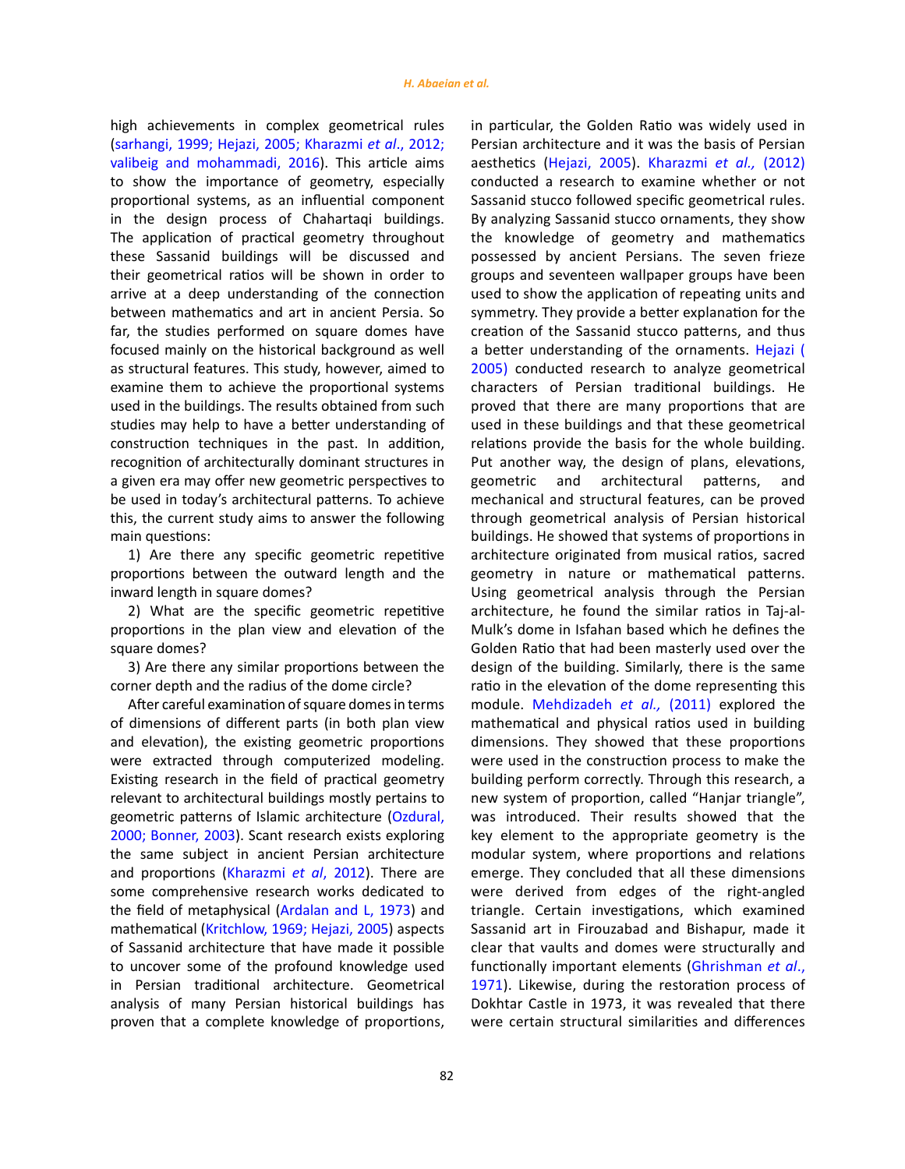high achievements in complex geometrical rules (sarhangi, 1999; Hejazi, 2005; Kharazmi *et al*., 2012; valibeig and mohammadi, 2016). This article aims to show the importance of geometry, especially proportional systems, as an influential component in the design process of Chahartaqi buildings. The application of practical geometry throughout these Sassanid buildings will be discussed and their geometrical ratios will be shown in order to arrive at a deep understanding of the connection between mathematics and art in ancient Persia. So far, the studies performed on square domes have focused mainly on the historical background as well as structural features. This study, however, aimed to examine them to achieve the proportional systems used in the buildings. The results obtained from such studies may help to have a better understanding of construction techniques in the past. In addition, recognition of architecturally dominant structures in a given era may offer new geometric perspectives to be used in today's architectural patterns. To achieve this, the current study aims to answer the following main questions:

1) Are there any specific geometric repetitive proportions between the outward length and the inward length in square domes?

2) What are the specific geometric repetitive proportions in the plan view and elevation of the square domes?

3) Are there any similar proportions between the corner depth and the radius of the dome circle?

After careful examination of square domes in terms of dimensions of different parts (in both plan view and elevation), the existing geometric proportions were extracted through computerized modeling. Existing research in the field of practical geometry relevant to architectural buildings mostly pertains to geometric patterns of Islamic architecture (Ozdural, 2000; Bonner, 2003). Scant research exists exploring the same subject in ancient Persian architecture and proportions (Kharazmi *et al*, 2012). There are some comprehensive research works dedicated to the field of metaphysical (Ardalan and L, 1973) and mathematical (Kritchlow, 1969; Hejazi, 2005) aspects of Sassanid architecture that have made it possible to uncover some of the profound knowledge used in Persian traditional architecture. Geometrical analysis of many Persian historical buildings has proven that a complete knowledge of proportions, in particular, the Golden Ratio was widely used in Persian architecture and it was the basis of Persian aesthetics (Hejazi, 2005). Kharazmi *et al.,* (2012) conducted a research to examine whether or not Sassanid stucco followed specific geometrical rules. By analyzing Sassanid stucco ornaments, they show the knowledge of geometry and mathematics possessed by ancient Persians. The seven frieze groups and seventeen wallpaper groups have been used to show the application of repeating units and symmetry. They provide a better explanation for the creation of the Sassanid stucco patterns, and thus a better understanding of the ornaments. Hejazi ( 2005) conducted research to analyze geometrical characters of Persian traditional buildings. He proved that there are many proportions that are used in these buildings and that these geometrical relations provide the basis for the whole building. Put another way, the design of plans, elevations, geometric and architectural patterns, and mechanical and structural features, can be proved through geometrical analysis of Persian historical buildings. He showed that systems of proportions in architecture originated from musical ratios, sacred geometry in nature or mathematical patterns. Using geometrical analysis through the Persian architecture, he found the similar ratios in Taj-al-Mulk's dome in Isfahan based which he defines the Golden Ratio that had been masterly used over the design of the building. Similarly, there is the same ratio in the elevation of the dome representing this module. Mehdizadeh *et al.,* (2011) explored the mathematical and physical ratios used in building dimensions. They showed that these proportions were used in the construction process to make the building perform correctly. Through this research, a new system of proportion, called "Hanjar triangle", was introduced. Their results showed that the key element to the appropriate geometry is the modular system, where proportions and relations emerge. They concluded that all these dimensions were derived from edges of the right-angled triangle. Certain investigations, which examined Sassanid art in Firouzabad and Bishapur, made it clear that vaults and domes were structurally and functionally important elements (Ghrishman *et al*., 1971). Likewise, during the restoration process of Dokhtar Castle in 1973, it was revealed that there were certain structural similarities and differences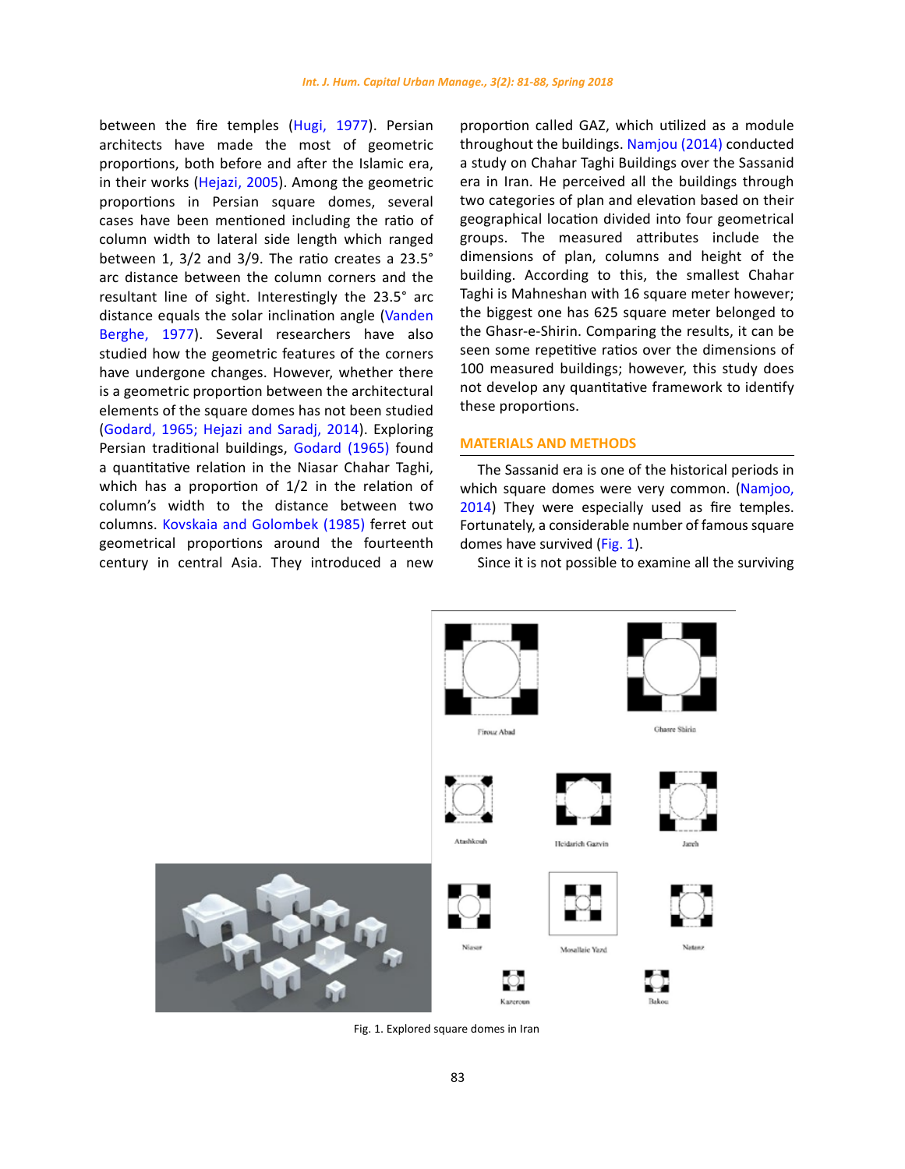between the fire temples (Hugi, 1977). Persian architects have made the most of geometric proportions, both before and after the Islamic era, in their works (Hejazi, 2005). Among the geometric proportions in Persian square domes, several cases have been mentioned including the ratio of column width to lateral side length which ranged between 1, 3/2 and 3/9. The ratio creates a 23.5° arc distance between the column corners and the resultant line of sight. Interestingly the 23.5° arc distance equals the solar inclination angle (Vanden Berghe, 1977). Several researchers have also studied how the geometric features of the corners have undergone changes. However, whether there is a geometric proportion between the architectural elements of the square domes has not been studied (Godard, 1965; Hejazi and Saradj, 2014). Exploring Persian traditional buildings, Godard (1965) found a quantitative relation in the Niasar Chahar Taghi, which has a proportion of 1/2 in the relation of column's width to the distance between two columns. Kovskaia and Golombek (1985) ferret out geometrical proportions around the fourteenth century in central Asia. They introduced a new

proportion called GAZ, which utilized as a module throughout the buildings. Namjou (2014) conducted a study on Chahar Taghi Buildings over the Sassanid era in Iran. He perceived all the buildings through two categories of plan and elevation based on their geographical location divided into four geometrical groups. The measured attributes include the dimensions of plan, columns and height of the building. According to this, the smallest Chahar Taghi is Mahneshan with 16 square meter however; the biggest one has 625 square meter belonged to the Ghasr-e-Shirin. Comparing the results, it can be seen some repetitive ratios over the dimensions of 100 measured buildings; however, this study does not develop any quantitative framework to identify these proportions.

# **MATERIALS AND METHODS**

The Sassanid era is one of the historical periods in which square domes were very common. (Namjoo, 2014) They were especially used as fire temples. Fortunately, a considerable number of famous square domes have survived (Fig. 1).

Since it is not possible to examine all the surviving

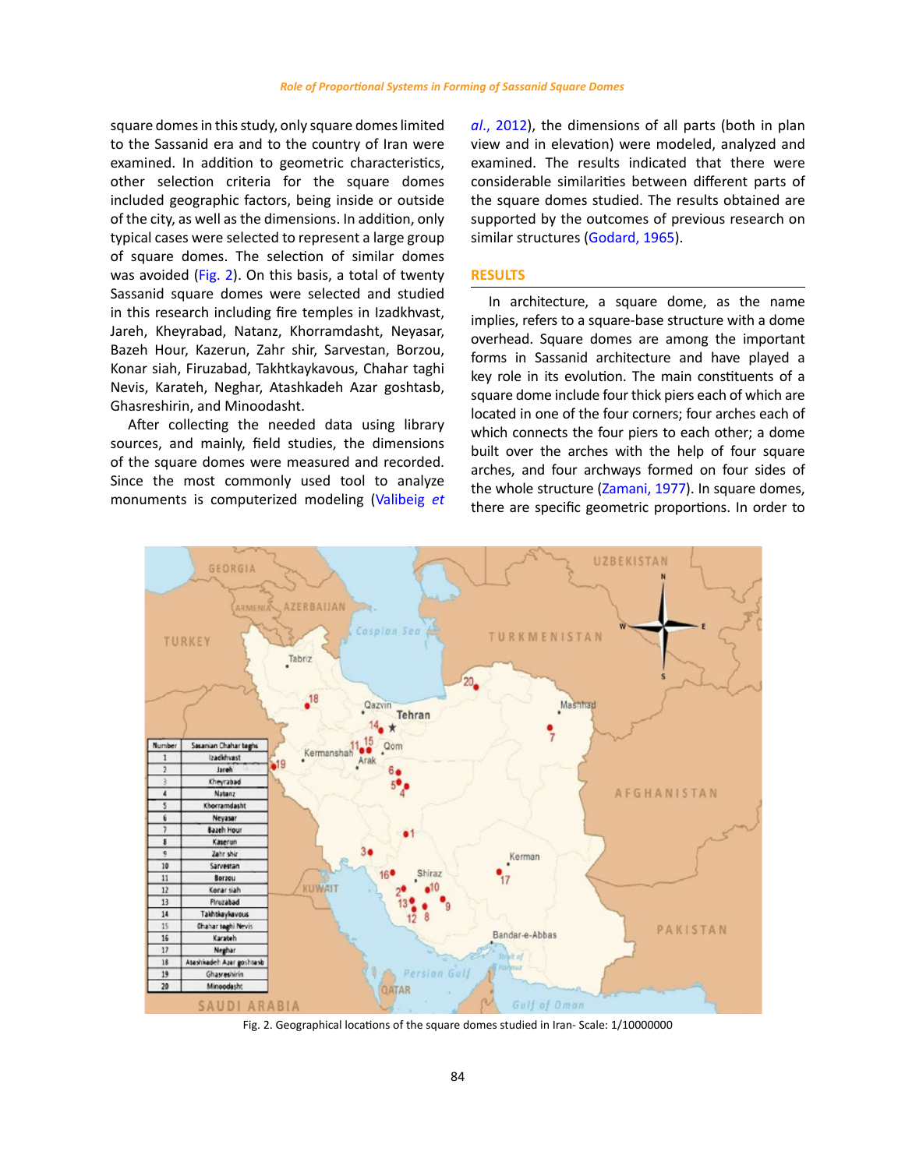square domes in this study, only square domes limited to the Sassanid era and to the country of Iran were examined. In addition to geometric characteristics, other selection criteria for the square domes included geographic factors, being inside or outside of the city, as well as the dimensions. In addition, only typical cases were selected to represent a large group of square domes. The selection of similar domes was avoided (Fig. 2). On this basis, a total of twenty Sassanid square domes were selected and studied in this research including fire temples in Izadkhvast, Jareh, Kheyrabad, Natanz, Khorramdasht, Neyasar, Bazeh Hour, Kazerun, Zahr shir, Sarvestan, Borzou, Konar siah, Firuzabad, Takhtkaykavous, Chahar taghi Nevis, Karateh, Neghar, Atashkadeh Azar goshtasb, Ghasreshirin, and Minoodasht.

After collecting the needed data using library sources, and mainly, field studies, the dimensions of the square domes were measured and recorded. Since the most commonly used tool to analyze monuments is computerized modeling (Valibeig *et*  *al*., 2012), the dimensions of all parts (both in plan view and in elevation) were modeled, analyzed and examined. The results indicated that there were considerable similarities between different parts of the square domes studied. The results obtained are supported by the outcomes of previous research on similar structures (Godard, 1965).

## **RESULTS**

In architecture, a square dome, as the name implies, refers to a square-base structure with a dome overhead. Square domes are among the important forms in Sassanid architecture and have played a key role in its evolution. The main constituents of a square dome include four thick piers each of which are located in one of the four corners; four arches each of which connects the four piers to each other; a dome built over the arches with the help of four square arches, and four archways formed on four sides of the whole structure (Zamani, 1977). In square domes, there are specific geometric proportions. In order to



Fig. 2. Geographical locations of the square domes studied in Iran-Scale: 1/10000000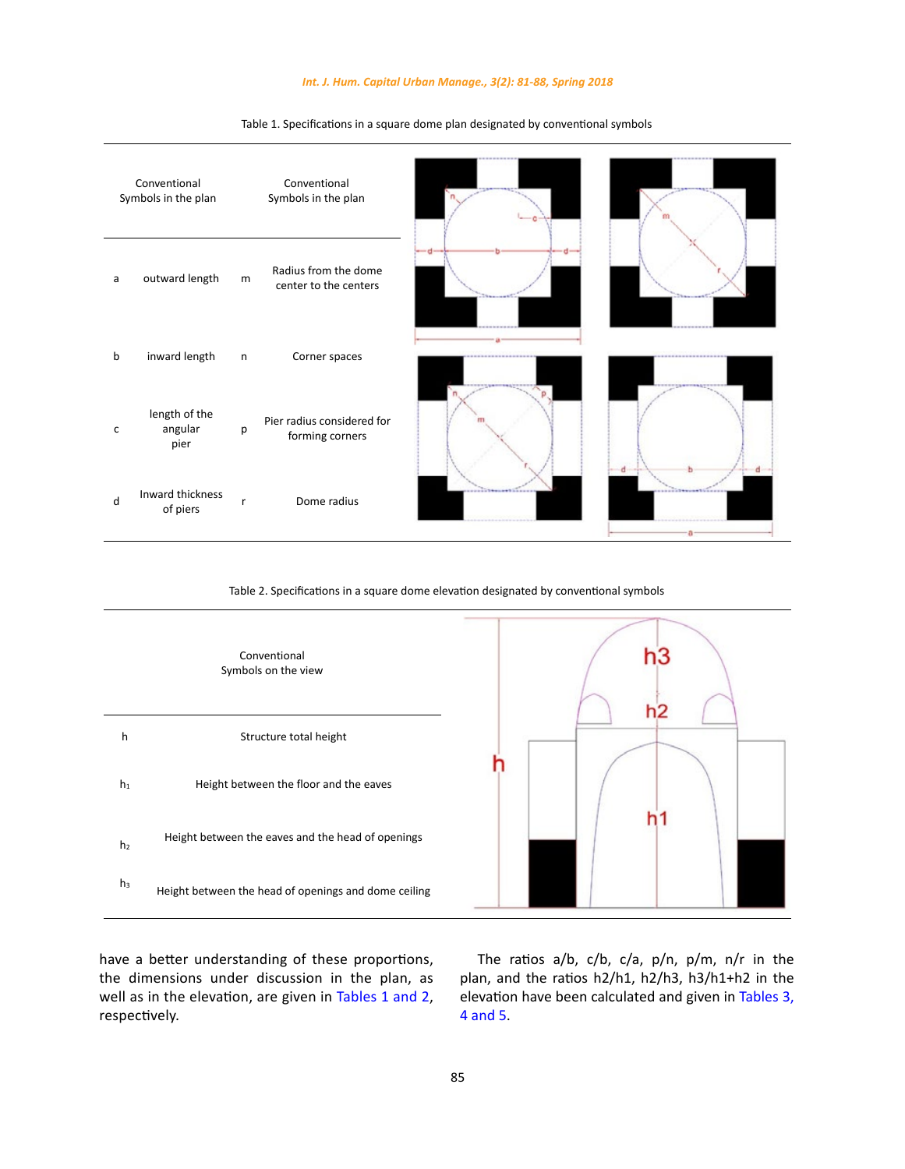# *Int. J. Hum. Capital Urban Manage., 3(2): 81-88, Spring 2018*

| Conventional<br>Symbols in the plan |                                  |   | Conventional<br>Symbols in the plan           | n |
|-------------------------------------|----------------------------------|---|-----------------------------------------------|---|
| a                                   | outward length                   | m | Radius from the dome<br>center to the centers |   |
| b                                   | inward length                    | n | Corner spaces                                 |   |
| с                                   | length of the<br>angular<br>pier | p | Pier radius considered for<br>forming corners |   |
| d                                   | Inward thickness<br>of piers     | r | Dome radius                                   |   |

# Table 1: Specifications in a square dome plan designated by conventional symbols Table 1. Specifications in a square dome plan designated by conventional symbols

Table 2: Specifications in a square dome elevation designated by conventional symbols Table 2. Specifications in a square dome elevation designated by conventional symbols



have a better understanding of these proportions, the dimensions under discussion in the plan, as well as in the elevation, are given in Tables 1 and 2, respectively.

The ratios a/b, c/b, c/a, p/n, p/m, n/r in the plan, and the ratios h2/h1, h2/h3, h3/h1+h2 in the elevation have been calculated and given in Tables 3, 4 and 5.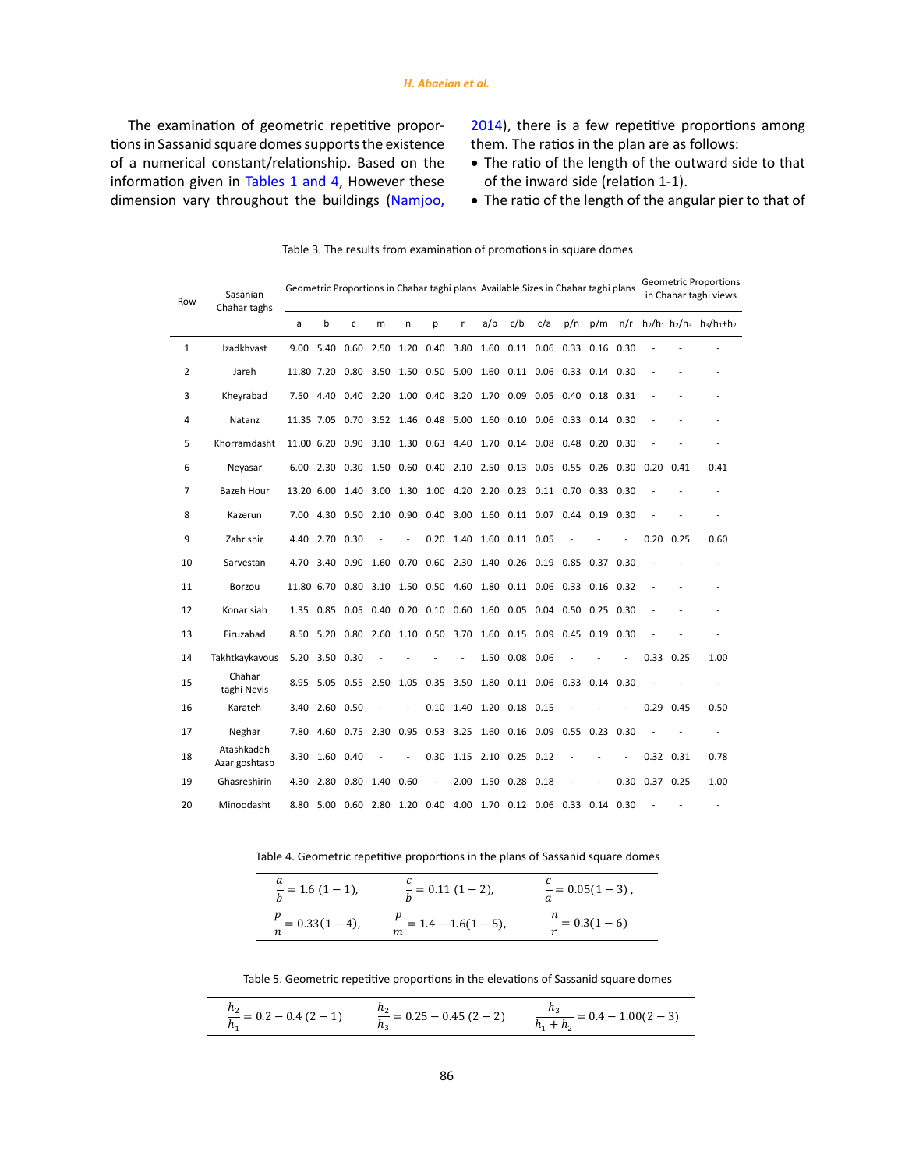The examination of geometric repetitive proportions in Sassanid square domes supports the existence of a numerical constant/relationship. Based on the information given in Tables 1 and 4, However these dimension vary throughout the buildings (Namjoo, 2014), there is a few repetitive proportions among them. The ratios in the plan are as follows:

- The ratio of the length of the outward side to that of the inward side (relation 1-1).
- The ratio of the length of the angular pier to that of

| Row            | Sasanian<br>Chahar taghs    | Geometric Proportions in Chahar taghi plans Available Sizes in Chahar taghi plans |                |                                                                   |             |                |                          |             |           |                          |                                         | <b>Geometric Proportions</b><br>in Chahar taghi views |      |      |             |               |                                                                                                                    |
|----------------|-----------------------------|-----------------------------------------------------------------------------------|----------------|-------------------------------------------------------------------|-------------|----------------|--------------------------|-------------|-----------|--------------------------|-----------------------------------------|-------------------------------------------------------|------|------|-------------|---------------|--------------------------------------------------------------------------------------------------------------------|
|                |                             | a                                                                                 | b              | C                                                                 | m           | n              | p                        | r           | a/b       | c/b                      | c/a                                     | p/n                                                   | p/m  |      |             |               | $n/r$ h <sub>2</sub> /h <sub>1</sub> h <sub>2</sub> /h <sub>3</sub> h <sub>3</sub> /h <sub>1</sub> +h <sub>2</sub> |
| 1              | Izadkhvast                  |                                                                                   | 9.00 5.40      |                                                                   | $0.60$ 2.50 | 1.20           | 0.40                     | 3.80        |           |                          | 1.60  0.11  0.06  0.33  0.16  0.30      |                                                       |      |      |             |               |                                                                                                                    |
| 2              | Jareh                       |                                                                                   |                | 11.80 7.20 0.80 3.50 1.50 0.50 5.00                               |             |                |                          |             |           |                          | 1.60 0.11 0.06 0.33 0.14                |                                                       |      | 0.30 |             |               |                                                                                                                    |
| 3              | Kheyrabad                   |                                                                                   |                | 7.50 4.40 0.40 2.20                                               |             | 1.00 0.40 3.20 |                          |             |           |                          | 1.70 0.09 0.05 0.40 0.18                |                                                       |      | 0.31 |             |               |                                                                                                                    |
| 4              | Natanz                      |                                                                                   |                | 11.35 7.05 0.70 3.52 1.46 0.48 5.00                               |             |                |                          |             |           |                          | 1.60 0.10 0.06 0.33 0.14                |                                                       |      | 0.30 |             |               |                                                                                                                    |
| 5              | Khorramdasht                |                                                                                   |                | 11.00 6.20 0.90 3.10 1.30 0.63 4.40 1.70 0.14 0.08 0.48 0.20 0.30 |             |                |                          |             |           |                          |                                         |                                                       |      |      |             |               |                                                                                                                    |
| 6              | Neyasar                     |                                                                                   |                | 6.00 2.30 0.30 1.50 0.60 0.40 2.10                                |             |                |                          |             |           |                          | 2.50 0.13 0.05 0.55 0.26 0.30           |                                                       |      |      | 0.20        | 0.41          | 0.41                                                                                                               |
| $\overline{7}$ | Bazeh Hour                  |                                                                                   |                | 13.20 6.00 1.40 3.00                                              |             |                |                          |             |           |                          | 1.30 1.00 4.20 2.20 0.23 0.11 0.70 0.33 |                                                       |      | 0.30 |             |               |                                                                                                                    |
| 8              | Kazerun                     |                                                                                   |                | 7.00 4.30 0.50 2.10 0.90 0.40 3.00 1.60 0.11 0.07 0.44 0.19 0.30  |             |                |                          |             |           |                          |                                         |                                                       |      |      |             |               |                                                                                                                    |
| 9              | Zahr shir                   |                                                                                   | 4.40 2.70 0.30 |                                                                   |             | ÷              |                          | $0.20$ 1.40 |           | 1.60 0.11 0.05           |                                         |                                                       |      |      | 0.20        | 0.25          | 0.60                                                                                                               |
| 10             | Sarvestan                   |                                                                                   |                | 4.70 3.40 0.90 1.60 0.70 0.60 2.30 1.40 0.26 0.19 0.85 0.37 0.30  |             |                |                          |             |           |                          |                                         |                                                       |      |      |             |               |                                                                                                                    |
| 11             | Borzou                      |                                                                                   |                | 11.80 6.70 0.80 3.10 1.50 0.50 4.60 1.80 0.11 0.06 0.33 0.16 0.32 |             |                |                          |             |           |                          |                                         |                                                       |      |      |             |               |                                                                                                                    |
| 12             | Konar siah                  |                                                                                   |                | 1.35 0.85 0.05 0.40 0.20 0.10 0.60 1.60 0.05 0.04 0.50 0.25 0.30  |             |                |                          |             |           |                          |                                         |                                                       |      |      |             |               |                                                                                                                    |
| 13             | Firuzabad                   |                                                                                   |                | 8.50 5.20 0.80 2.60                                               |             | 1.10 0.50 3.70 |                          |             |           |                          | 1.60 0.15 0.09 0.45 0.19                |                                                       |      | 0.30 |             |               |                                                                                                                    |
| 14             | Takhtkaykavous              | 5.20                                                                              | 3.50 0.30      |                                                                   |             |                |                          |             |           | 1.50 0.08 0.06           |                                         |                                                       |      |      |             | $0.33$ 0.25   | 1.00                                                                                                               |
| 15             | Chahar<br>taghi Nevis       |                                                                                   |                | 8.95 5.05 0.55 2.50                                               |             | 1.05           | 0.35 3.50                |             |           |                          | 1.80 0.11 0.06 0.33 0.14                |                                                       |      | 0.30 |             |               | $\overline{\phantom{a}}$                                                                                           |
| 16             | Karateh                     | 3.40                                                                              | 2.60 0.50      |                                                                   |             | ÷              | $0.10$ 1.40              |             |           | 1.20 0.18 0.15           |                                         |                                                       |      |      |             | $0.29$ 0.45   | 0.50                                                                                                               |
| 17             | Neghar                      | 7.80                                                                              |                | 4.60 0.75 2.30                                                    |             | 0.95           | $0.53$ 3.25              |             |           |                          | 1.60 0.16 0.09 0.55                     |                                                       | 0.23 | 0.30 |             |               | $\overline{\phantom{a}}$                                                                                           |
| 18             | Atashkadeh<br>Azar goshtasb |                                                                                   | 3.30 1.60 0.40 |                                                                   |             | $\overline{a}$ |                          |             |           | 0.30 1.15 2.10 0.25 0.12 |                                         |                                                       |      |      |             | $0.32$ $0.31$ | 0.78                                                                                                               |
| 19             | Ghasreshirin                | 4.30                                                                              | 2.80           | 0.80                                                              | 1.40        | 0.60           | $\overline{\phantom{a}}$ | 2.00        | 1.50 0.28 |                          | 0.18                                    |                                                       |      | 0.30 | $0.37$ 0.25 |               | 1.00                                                                                                               |
| 20             | Minoodasht                  |                                                                                   |                | 8.80 5.00 0.60 2.80 1.20 0.40 4.00 1.70 0.12 0.06 0.33 0.14       |             |                |                          |             |           |                          |                                         |                                                       |      | 0.30 |             |               | ٠                                                                                                                  |

Table 3: The results from examination of promotions in square domes Table 3. The results from examination of promotions in square domes

Table 4: Geometric repetitive proportions in the plans of Sassanid square domes Table 4. Geometric repetitive proportions in the plans of Sassanid square domes

| $\frac{a}{b}$ = 1.6 (1 – 1), | $\frac{c}{b}$ = 0.11 (1 – 2),     | $\frac{c}{a} = 0.05(1-3)$ , |
|------------------------------|-----------------------------------|-----------------------------|
| $\frac{p}{n} = 0.33(1-4),$   | $\frac{p}{m}$ = 1.4 – 1.6(1 – 5), | $\frac{n}{r}$ = 0.3(1 – 6)  |

Table 5: Geometric repetitive proportions in the elevations of Sassanid square domes Table 5. Geometric repetitive proportions in the elevations of Sassanid square domes

|                                       | $\frac{h_2}{h}$ = 0.25 – 0.45 (2 – 2) |                                             |
|---------------------------------------|---------------------------------------|---------------------------------------------|
| $\frac{h_2}{h_1}$ = 0.2 – 0.4 (2 – 1) |                                       | $\frac{n_3}{h_1 + h_2} = 0.4 - 1.00(2 - 3)$ |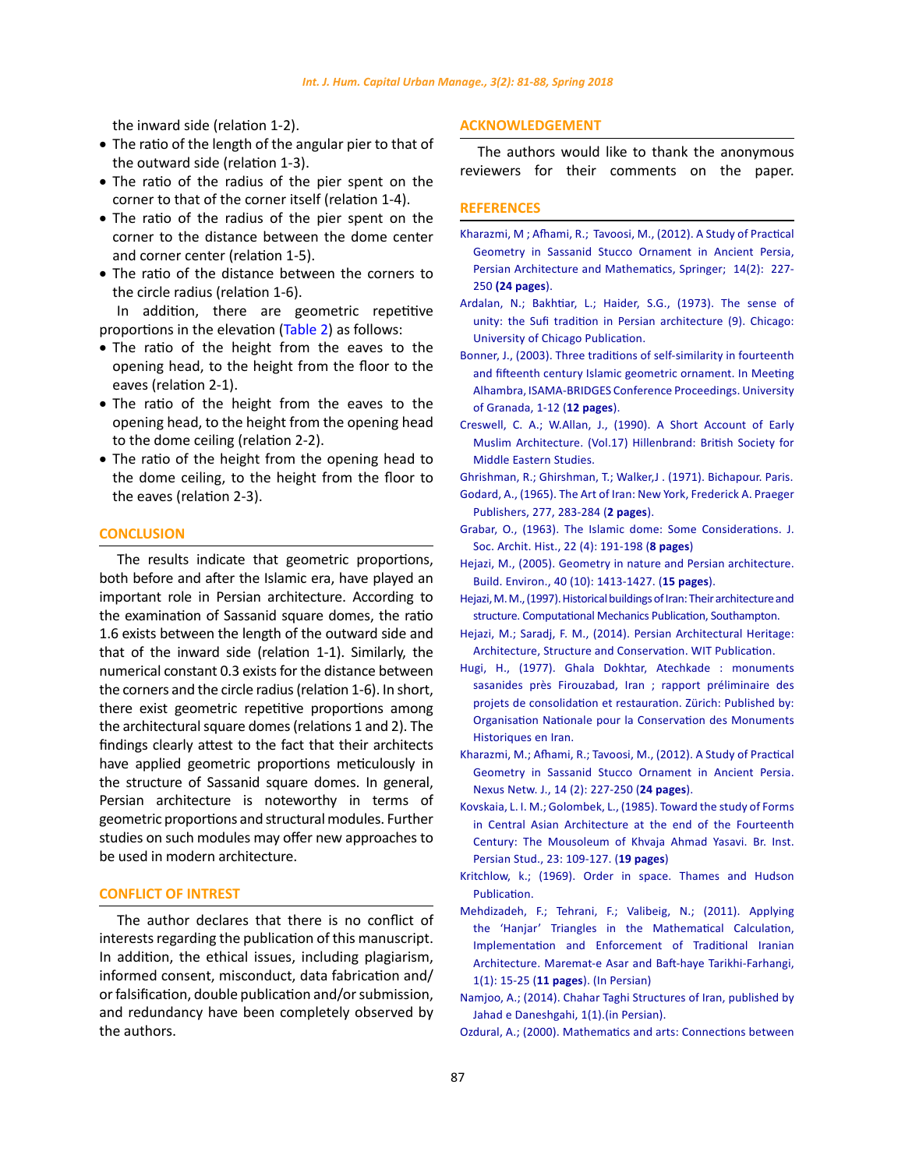the inward side (relation 1-2).

- The ratio of the length of the angular pier to that of the outward side (relation 1-3).
- The ratio of the radius of the pier spent on the corner to that of the corner itself (relation 1-4).
- The ratio of the radius of the pier spent on the corner to the distance between the dome center and corner center (relation 1-5).
- The ratio of the distance between the corners to the circle radius (relation 1-6).

In addition, there are geometric repetitive proportions in the elevation (Table 2) as follows:

- The ratio of the height from the eaves to the opening head, to the height from the floor to the eaves (relation 2-1).
- The ratio of the height from the eaves to the opening head, to the height from the opening head to the dome ceiling (relation 2-2).
- The ratio of the height from the opening head to the dome ceiling, to the height from the floor to the eaves (relation 2-3).

## **CONCLUSION**

The results indicate that geometric proportions, both before and after the Islamic era, have played an important role in Persian architecture. According to the examination of Sassanid square domes, the ratio 1.6 exists between the length of the outward side and that of the inward side (relation 1-1). Similarly, the numerical constant 0.3 exists for the distance between the corners and the circle radius (relation 1-6). In short, there exist geometric repetitive proportions among the architectural square domes (relations 1 and 2). The findings clearly attest to the fact that their architects have applied geometric proportions meticulously in the structure of Sassanid square domes. In general, Persian architecture is noteworthy in terms of geometric proportions and structural modules. Further studies on such modules may offer new approaches to be used in modern architecture.

#### **CONFLICT OF INTREST**

The author declares that there is no conflict of interests regarding the publication of this manuscript. In addition, the ethical issues, including plagiarism, informed consent, misconduct, data fabrication and/ or falsification, double publication and/or submission, and redundancy have been completely observed by the authors.

### **ACKNOWLEDGEMENT**

The authors would like to thank the anonymous reviewers for their comments on the paper.

### **REFERENCES**

- [Kharazmi, M ; Afhami, R.; Tavoosi, M., \(2012\). A Study of Practical](http://www.worldcat.org/title/short-account-of-early-muslim-architecture/oclc/20595580) [Geometry in Sassanid Stucco Ornament in Ancient Persia,](http://www.worldcat.org/title/short-account-of-early-muslim-architecture/oclc/20595580) [Persian Architecture and Mathematics, Springer; 14\(2\): 227-](http://www.worldcat.org/title/short-account-of-early-muslim-architecture/oclc/20595580) 250 **[\(24 pages](http://www.worldcat.org/title/short-account-of-early-muslim-architecture/oclc/20595580)**).
- [Ardalan, N.; Bakhtiar, L.; Haider, S.G., \(1973\). The sense of](https://kyeshljit03.storage.googleapis.com/MTg3MTAzMTc4OA==01.pdf) [unity: the Sufi tradition in Persian architecture \(9\). Chicago:](https://kyeshljit03.storage.googleapis.com/MTg3MTAzMTc4OA==01.pdf) [University of Chicago Publication.](https://kyeshljit03.storage.googleapis.com/MTg3MTAzMTc4OA==01.pdf)
- [Bonner, J., \(2003\). Three traditions of self-similarity in fourteenth](http://archive.bridgesmathart.org/2003/bridges2003-1.pdf) [and fifteenth century Islamic geometric ornament. In Meeting](http://archive.bridgesmathart.org/2003/bridges2003-1.pdf) [Alhambra, ISAMA-BRIDGES Conference Proceedings. University](http://archive.bridgesmathart.org/2003/bridges2003-1.pdf) [of Granada, 1-12 \(](http://archive.bridgesmathart.org/2003/bridges2003-1.pdf)**12 pages**).
- [Creswell, C. A.; W.Allan, J., \(1990\). A Short Account of Early](http://www.worldcat.org/title/short-account-of-early-muslim-architecture/oclc/20595580) [Muslim Architecture. \(Vol.17\) Hillenbrand: British Society for](http://www.worldcat.org/title/short-account-of-early-muslim-architecture/oclc/20595580) [Middle Eastern Studies.](http://www.worldcat.org/title/short-account-of-early-muslim-architecture/oclc/20595580)
- [Ghrishman, R.; Ghirshman, T.; Walker,J . \(1971\). Bichapour. Paris.](http://www.worldcat.org/title/bichapour/oclc/760276431) Godard, A., (1965). The Art of Iran: New York, Frederick A. Praeger Publishers, 277, 283-284 (**2 pages**)[.](https://www.jstor.org/stable/988190)
- [Grabar, O., \(1963\). The Islamic dome: Some Considerations. J.](https://www.jstor.org/stable/988190) [Soc. Archit. Hist., 22 \(4\): 191-198 \(](https://www.jstor.org/stable/988190)**8 pages**)
- [Hejazi, M., \(2005\). Geometry in nature and Persian architecture.](https://www.sciencedirect.com/science/article/pii/S0360132304003221) [Build. Environ., 40 \(10\): 1413-1427. \(](https://www.sciencedirect.com/science/article/pii/S0360132304003221)**15 pages**).
- [Hejazi, M. M., \(1997\). Historical buildings of Iran: Their architecture and](https://www.amazon.com/Historical-Buildings-Iran-Architecture-Structure/dp/1853124842) [structure. Computational Mechanics Publication, Southampton.](https://www.amazon.com/Historical-Buildings-Iran-Architecture-Structure/dp/1853124842)
- [Hejazi, M.; Saradj, F. M., \(2014\). Persian Architectural Heritage:](https://books.google.com/books?hl=en&lr=&id=PxHPBQAAQBAJ&oi=fnd&pg=PP1&dq=Hejazi,+M%3B+Saradj,+F+M,+(2014).+Persian+Architectural+Heritage:+Architecture,+Structure+and+Conservation.+WIT+press&ots=NdA3XiSVMp&sig=PfwojoDt1Iy3fk6zY1OK_-slpKg) [Architecture, Structure and Conservation. WIT Publication.](https://books.google.com/books?hl=en&lr=&id=PxHPBQAAQBAJ&oi=fnd&pg=PP1&dq=Hejazi,+M%3B+Saradj,+F+M,+(2014).+Persian+Architectural+Heritage:+Architecture,+Structure+and+Conservation.+WIT+press&ots=NdA3XiSVMp&sig=PfwojoDt1Iy3fk6zY1OK_-slpKg)
- [Hugi, H., \(1977\). Ghala Dokhtar, Atechkade : monuments](https://www.abebooks.com/Ghala-Dokhtar-Atechkade-monuments-sasanides-pres/17647389130/bd) [sasanides près Firouzabad, Iran ; rapport préliminaire des](https://www.abebooks.com/Ghala-Dokhtar-Atechkade-monuments-sasanides-pres/17647389130/bd) [projets de consolidation et restauration. Zürich: Published by:](https://www.abebooks.com/Ghala-Dokhtar-Atechkade-monuments-sasanides-pres/17647389130/bd) [Organisation Nationale pour la Conservation des Monuments](https://www.abebooks.com/Ghala-Dokhtar-Atechkade-monuments-sasanides-pres/17647389130/bd) [Historiques en Iran.](https://www.abebooks.com/Ghala-Dokhtar-Atechkade-monuments-sasanides-pres/17647389130/bd)
- [Kharazmi, M.; Afhami, R.; Tavoosi, M., \(2012\). A Study of Practical](https://link.springer.com/chapter/10.1007/978-3-0348-0507-0_4) [Geometry in Sassanid Stucco Ornament in Ancient Persia.](https://link.springer.com/chapter/10.1007/978-3-0348-0507-0_4) [Nexus Netw. J., 14 \(2\): 227-250 \(](https://link.springer.com/chapter/10.1007/978-3-0348-0507-0_4)**24 pages**).
- Kovskaia, L. I. M.; Golombek, L., (1985). Toward the study of Forms in Central Asian Architecture at the end of the Fourteenth Century: The Mousoleum of Khvaja Ahmad Yasavi. Br. Inst. Persian Stud., 23: 109-127. (**19 pages**)
- [Kritchlow, k.; \(1969\). Order in space. Thames and Hudson](https://www.abebooks.co.uk/book-search/title/order-in-space/author/critchlow/) [Publication.](https://www.abebooks.co.uk/book-search/title/order-in-space/author/critchlow/)
- [Mehdizadeh, F.; Tehrani, F.; Valibeig, N.; \(2011\). Applying](http://en.journals.sid.ir/ViewPaper.aspx?ID=217868) [the 'Hanjar' Triangles in the Mathematical Calculation,](http://en.journals.sid.ir/ViewPaper.aspx?ID=217868) [Implementation and Enforcement of Traditional Iranian](http://en.journals.sid.ir/ViewPaper.aspx?ID=217868) [Architecture. Maremat-e Asar and Baft-haye Tarikhi-Farhangi,](http://en.journals.sid.ir/ViewPaper.aspx?ID=217868) 1(1): 15-25 (**11 pages**[\). \(In Persian\)](http://en.journals.sid.ir/ViewPaper.aspx?ID=217868)
- [Namjoo, A.; \(2014\). Chahar Taghi Structures of Iran, published by](https://www.adinehbook.com/gp/product/6001024146) [Jahad e Daneshgahi, 1\(1\).\(in Persian\).](https://www.adinehbook.com/gp/product/6001024146)
- [Ozdural, A.; \(2000\). Mathematics and arts: Connections between](https://www.sciencedirect.com/science/article/pii/S0315086099922747)